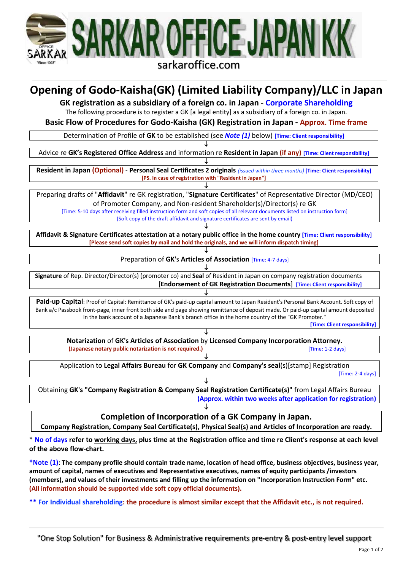

# **Opening of Godo-Kaisha(GK) (Limited Liability Company)/LLC in Japan**

**GK registration as a subsidiary of a foreign co. in Japan - Corporate Shareholding**

The following procedure is to register a GK [a legal entity] as a subsidiary of a foreign co. in Japan.

**Basic Flow of Procedures for Godo-Kaisha (GK) Registration in Japan - Approx. Time frame**

Determination of Profile of **GK** to be established (see *Note (1)* below) **[Time: Client responsibility]** ↓

Advice re **GK's Registered Office Address** and information re **Resident in Japan (if any) [Time: Client responsibility]**

↓ **Resident in Japan (Optional)** - **Personal Seal Certificates 2 originals** *(issued within three months)* **[Time: Client responsibility] [PS. In case of registration with "Resident in Japan"]**

↓ Preparing drafts of "**Affidavit**" re GK registration, "**Signature Certificates**" of Representative Director (MD/CEO) of Promoter Company, and Non-resident Shareholder(s)/Director(s) re GK

[Time: 5-10 days after receiving filled instruction form and soft copies of all relevant documents listed on instruction form] (Soft copy of the draft affidavit and signature certificates are sent by email) ↓

**Affidavit & Signature Certificates attestation at a notary public office in the home country [Time: Client responsibility] [Please send soft copies by mail and hold the originals, and we will inform dispatch timing]**

> ↓ Preparation of **GK**'s **Articles of Association** [Time: 4-7 days]

↓ **Signature** of Rep. Director/Director(s) (promoter co) and **Seal** of Resident in Japan on company registration documents [**Endorsement of GK Registration Documents**] **[Time: Client responsibility]**

**Paid-up Capital**: Proof of Capital: Remittance of GK's paid-up capital amount to Japan Resident's Personal Bank Account. Soft copy of Bank a/c Passbook front-page, inner front both side and page showing remittance of deposit made. Or paid-up capital amount deposited in the bank account of a Japanese Bank's branch office in the home country of the "GK Promoter."

↓

**[Time: Client responsibility]**

↓ **Notarization** of **GK's Articles of Association** by **Licensed Company Incorporation Attorney. (Japanese notary public notarization is not required.)** *Capanese 10 days* [Time: 1-2 days] ↓

Application to **Legal Affairs Bureau** for **GK Company** and **Company's seal**(s)[stamp] Registration [Time: 2-4 days]

↓ Obtaining **GK's "Company Registration & Company Seal Registration Certificate(s)"** from Legal Affairs Bureau **(Approx. within two weeks after application for registration)** ↓

**Completion of Incorporation of a GK Company in Japan.**

**Company Registration, Company Seal Certificate(s), Physical Seal(s) and Articles of Incorporation are ready.**

\* **No of days refer to working days, plus time at the Registration office and time re Client's response at each level of the above flow-chart.**

**\*Note (1)**: **The company profile should contain trade name, location of head office, business objectives, business year, amount of capital, names of executives and Representative executives, names of equity participants /investors (members), and values of their investments and filling up the information on "Incorporation Instruction Form" etc. (All information should be supported vide soft copy official documents).**

**\*\* For Individual shareholding: the procedure is almost similar except that the Affidavit etc., is not required.**